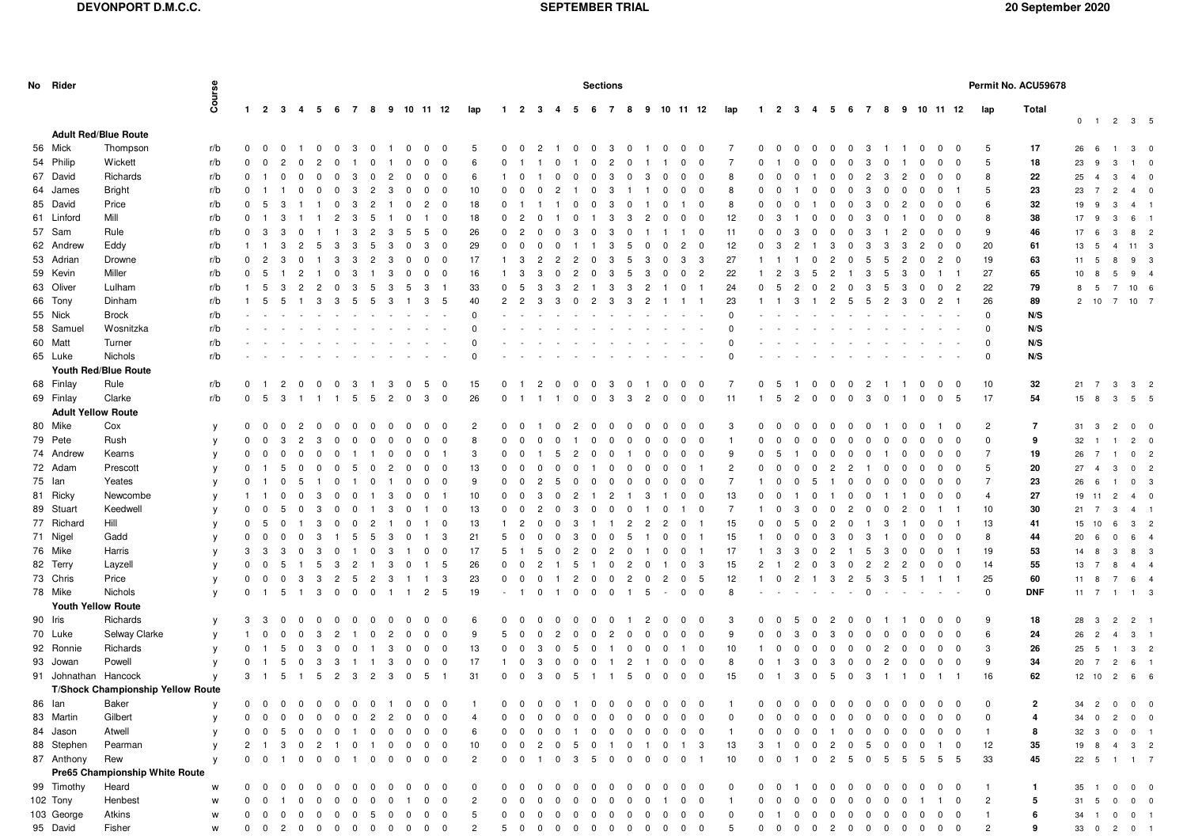| No Rider                  |                                   |              |                          | <b>Sections</b>                           |                         |                         |                 |                                        |                                                      |                           |                                            |                           |                              |                         |                                        |                         |                         | Permit No. ACU59678       |                                  |                      |                           |                         |                         |                                         |                                         |                         |                   |                                         |                         |                   |                         |                      |                      |                |                         |              |                                  |                |                                          |  |
|---------------------------|-----------------------------------|--------------|--------------------------|-------------------------------------------|-------------------------|-------------------------|-----------------|----------------------------------------|------------------------------------------------------|---------------------------|--------------------------------------------|---------------------------|------------------------------|-------------------------|----------------------------------------|-------------------------|-------------------------|---------------------------|----------------------------------|----------------------|---------------------------|-------------------------|-------------------------|-----------------------------------------|-----------------------------------------|-------------------------|-------------------|-----------------------------------------|-------------------------|-------------------|-------------------------|----------------------|----------------------|----------------|-------------------------|--------------|----------------------------------|----------------|------------------------------------------|--|
|                           |                                   | Course       |                          | $1 \quad 2 \quad 3 \quad 4$               |                         | 5                       | 67              | 8                                      |                                                      |                           | 9 10 11 12                                 | lap                       | $\blacksquare$               | $\overline{2}$          | - 3<br>4                               | - 5                     | 6                       | $\overline{7}$<br>- 8     |                                  |                      | 9 10 11 12                |                         | lap                     | $\mathbf{1}$                            | $\overline{2}$<br>- 3                   | 4                       | -5                | - 7<br>- 6                              | 8                       | 9                 |                         |                      | 10 11 12             | lap            | Total                   |              |                                  |                |                                          |  |
|                           | <b>Adult Red/Blue Route</b>       |              |                          |                                           |                         |                         |                 |                                        |                                                      |                           |                                            |                           |                              |                         |                                        |                         |                         |                           |                                  |                      |                           |                         |                         |                                         |                                         |                         |                   |                                         |                         |                   |                         |                      |                      |                |                         | $\mathbf 0$  | $\overline{1}$                   |                | $2 \quad 3 \quad 5$                      |  |
| 56 Mick                   | Thompson                          | r/b          |                          | 0 0 0 1 0 0 3                             |                         |                         |                 | $\overline{0}$                         | $\overline{1}$                                       | $\overline{\mathbf{0}}$   | $\overline{0}$<br>$\overline{\phantom{0}}$ | -5                        | $0\quad 0$                   |                         | $\overline{2}$                         | $\overline{\mathbf{0}}$ |                         | $0 \quad 3 \quad 0$       | $\overline{1}$                   | $\overline{0}$       | $\overline{\mathbf{0}}$   | $\overline{\mathbf{0}}$ |                         | $^{\circ}$<br>$\overline{0}$            | $\overline{0}$                          | $\overline{0}$          | $\overline{0}$    | $\overline{\mathbf{0}}$<br>3            | $\overline{1}$          | $\overline{1}$    | $\overline{\mathbf{0}}$ | 0                    | $^{\circ}$           | 5              | 17                      | 26           | 6                                | $\overline{1}$ | $3 \quad 0$                              |  |
| 54 Philip                 | Wickett                           | r/b          | $\mathbf 0$              | $\overline{\mathbf{0}}$<br>$\overline{2}$ | - 0                     | -2                      | - 0             | $\Omega$                               |                                                      | $\Omega$                  | $\overline{\mathbf{0}}$<br>$^{\circ}$      | 6                         | $^{\circ}$                   |                         |                                        |                         | $\Omega$                | $\overline{c}$            | $\Omega$                         |                      | $^{\circ}$                | $\mathbf{0}$            | -7                      | $\Omega$                                |                                         |                         |                   | $\Omega$<br>-3                          | $^{\circ}$              |                   | $\Omega$                | $^{\circ}$           | $\Omega$             | 5              | 18                      | 23           | 9                                | 3              | $1 \quad 0$                              |  |
| 67 David                  | Richards                          | r/b          | $\mathbf 0$              | $\Omega$<br>- 1                           | $\Omega$                | - 0                     | $\Omega$        | 3<br>$^{\circ}$                        | $\overline{2}$                                       | $\mathbf 0$               | $\overline{0}$<br>$\Omega$                 | 6                         | -1                           | $\Omega$                | $\Omega$                               | $\Omega$                | $\Omega$                | 3                         | $^{\rm o}$<br>3                  | $\Omega$             | $\Omega$                  | $\overline{\mathbf{0}}$ | 8                       | <sup>0</sup>                            | $\Omega$                                |                         | $\Omega$          | $\Omega$<br>$\overline{2}$              | 3                       | $\overline{2}$    | $\Omega$                | $\Omega$             | $\Omega$             | 8              | 22                      | 25           | $\overline{4}$                   | $\mathbf{3}$   | $4\quad 0$                               |  |
| 64 James                  | <b>Bright</b>                     | r/b          | $\mathbf{0}$             | $\mathbf{1}$                              | 0                       | - 0                     | 0               | $\overline{2}$<br>3                    | -3                                                   | $\mathbf 0$               | 0<br>- 0                                   | 10                        | $^{\circ}$                   | 0                       | $\mathbf 0$<br>$\overline{2}$          |                         | $\mathbf 0$             | -3                        |                                  | $\Omega$             | $^{\circ}$                | $\overline{\mathbf{0}}$ | 8                       | $^{\circ}$                              |                                         | - 0                     | $\Omega$          | 3<br>$\Omega$                           | $\mathbf 0$             | - 0               | $^{\circ}$              | $^{\circ}$           |                      | 5              | 23                      | 23           | $\overline{7}$                   | $\overline{2}$ | 4<br>$\overline{\phantom{0}}$            |  |
| 85 David                  | Price                             | r/b          | $\mathbf 0$              | - 5<br>3                                  |                         |                         | $^{\circ}$      | 3<br>$\overline{2}$                    | - 1                                                  | $^{\circ}$                | $\mathbf{2}$<br>$\overline{\mathbf{0}}$    | 18                        | $\mathbf 0$                  |                         |                                        | $^{\circ}$              | $\Omega$                | 3                         | $^{\rm o}$                       | $\Omega$             |                           | $\overline{\mathbf{0}}$ | 8                       | $\Omega$                                | $\Omega$                                |                         | 0                 | 3<br>0                                  | $\mathbf 0$             | -2                | $\Omega$                | $^{\circ}$           | $\Omega$             | 6              | 32                      | 19           | 9                                | 3              | $4 \quad 1$                              |  |
| 61 Linford                | Mill                              | r/b          | $\mathbf{0}$             | -3                                        |                         |                         | $\overline{2}$  | -3<br>-5                               |                                                      | $^{\circ}$                | - 0<br>-1                                  | 18                        | $^{\circ}$                   | $\overline{2}$          | $\Omega$                               | 0                       |                         | 3                         | -3<br>2                          | $\Omega$             | $^{\circ}$                | $\mathbf{0}$            | 12                      | $^{\circ}$<br>-3                        |                                         | $\Omega$                | $\Omega$          | -3<br>$\Omega$                          | $\Omega$                |                   | $\Omega$                | $^{\circ}$           | $^{\circ}$           | 8              | 38                      | 17 9         |                                  | $\mathbf{3}$   | 6 1                                      |  |
| 57 Sam                    | Rule                              | r/b          | $\mathbf{0}$             | - 3<br>3                                  | 0                       |                         |                 | $\overline{2}$<br>3                    | -3                                                   | -5                        | 5<br>$\overline{0}$                        | 26                        | $\mathbf 0$                  | $\overline{2}$          | $\overline{0}$<br>$\Omega$             | 3                       | $^{\circ}$              | -3                        | 0                                |                      | $\overline{1}$            | $\overline{\mathbf{0}}$ | 11                      | $\Omega$                                | 3                                       | - 0                     | $\Omega$          | $\Omega$<br>-3                          |                         | 2                 | $\Omega$                | $\mathbf 0$          | $\Omega$             | 9              | 46                      | 17           | 6                                | $\mathbf{3}$   | 8 <sub>2</sub>                           |  |
| 62 Andrew                 | Eddy                              | r/b          |                          | -3                                        | -2                      | 5                       | 3               | -3<br>-5                               | -3                                                   | $^{\circ}$                | 3<br>$\overline{\mathbf{0}}$               | 29                        | $\Omega$                     | - 0                     | $\Omega$                               |                         |                         | 3                         | 5<br>$\Omega$                    | $\Omega$             | $\overline{2}$            | $\mathbf 0$             | 12                      | -3                                      |                                         |                         | 3                 | $\Omega$<br>3                           | -3                      | -3                | $\mathbf{2}$            | $\Omega$             | $^{\circ}$           | 20             | 61                      | 13           | - 5                              | $\overline{4}$ | 11 3                                     |  |
| 53 Adrian                 | Drowne                            | r/b          | 0 <sub>2</sub>           | 3                                         | $^{\circ}$              |                         | 3               | 3<br>$\overline{2}$                    | 3                                                    | $\mathbf 0$               | $\mathbf 0$<br>$\overline{\mathbf{0}}$     | 17                        | -1                           | -3                      | $\overline{2}$<br>$\overline{2}$       | $\overline{2}$          | $\mathbf 0$             | 3                         | 3<br>5                           | $\mathbf 0$          | 3                         | $\mathbf{3}$            | 27                      |                                         |                                         | $\mathbf{0}$            | $\overline{2}$    | 5<br>$^{\circ}$                         | 5                       | $\overline{2}$    | $^{\circ}$              | $\overline{2}$       | $^{\circ}$           | 19             | 63                      | 11 5         |                                  | 8              | 9 3                                      |  |
| 59 Kevin                  | Miller                            | r/b          | $\mathbf{0}$             | 5                                         | $\mathcal{P}$           |                         | $\Omega$        | -3                                     | 3                                                    | $^{\circ}$                | $^{\circ}$<br>- 0                          | 16                        |                              | -3                      | -3<br>$\Omega$                         | $\overline{2}$          | $\Omega$                | 3                         | 5<br>3                           | $\Omega$             | $^{\circ}$                | $\overline{2}$          | 22                      |                                         | $\overline{2}$<br>3                     | -5                      | 2                 | -3                                      | -5                      | -3                | $^{\circ}$              |                      |                      | 27             | 65                      | 10           | 8                                | 5              | $9 \t 4$                                 |  |
| 63 Oliver                 | Lulham                            | r/b          |                          | - 5<br>3                                  | $\overline{2}$          | $\overline{2}$          | 0               | -3<br>-5                               | 3                                                    | -5                        | 3                                          | 33                        | $\Omega$                     | - 5                     | -3<br>3                                | -2                      |                         | 3                         | $\overline{2}$<br>-3             |                      | $\Omega$                  | $\overline{1}$          | 24                      | $^{\circ}$<br>-5                        | $\overline{2}$                          | 0                       | 2                 | 3<br>$\Omega$                           | -5                      | -3                | $^{\circ}$              | $\overline{0}$       | $\overline{2}$       | 22             | 79                      | 8            | 5                                | - 7            | 10 6                                     |  |
| 66 Tony                   | Dinham                            | r/b          | $1\quad 5$               | 5                                         | $\overline{1}$          | $\mathbf{3}$            | $3\quad 5$      | 5                                      | -3                                                   | -1                        | 3<br>5                                     | 40                        | $\overline{2}$               | $\overline{2}$          | -3<br>3                                | $\overline{0}$          | $\overline{2}$          | 3 3                       | $\overline{2}$                   |                      | $1 \quad 1$               |                         | 23                      |                                         | 3                                       | $\overline{1}$          | 2 5               | 5                                       | $\overline{2}$          | -3                |                         | $0\quad 2$           |                      | 26             | 89                      |              |                                  |                | 2 10 7 10 7                              |  |
| 55 Nick                   | <b>Brock</b>                      | r/b          |                          |                                           |                         |                         |                 |                                        |                                                      |                           |                                            | $\Omega$                  |                              |                         |                                        |                         |                         |                           |                                  |                      |                           |                         | $\Omega$                |                                         |                                         |                         |                   |                                         |                         |                   |                         |                      |                      | $\Omega$       | N/S                     |              |                                  |                |                                          |  |
| 58 Samuel                 | Wosnitzka                         | r/b          |                          |                                           |                         |                         |                 |                                        |                                                      |                           |                                            | $\Omega$                  |                              |                         |                                        |                         |                         |                           |                                  |                      |                           |                         | $\Omega$                |                                         |                                         |                         |                   |                                         |                         |                   |                         |                      |                      | $\Omega$       | N/S                     |              |                                  |                |                                          |  |
| 60 Matt                   | Turner                            | r/b          |                          |                                           |                         |                         |                 |                                        |                                                      |                           |                                            | $\Omega$                  |                              |                         |                                        |                         |                         |                           |                                  |                      |                           |                         |                         |                                         |                                         |                         |                   |                                         |                         |                   |                         |                      |                      | $\Omega$       | N/S                     |              |                                  |                |                                          |  |
| 65 Luke                   | Nichols                           | r/b          |                          |                                           |                         |                         |                 |                                        |                                                      |                           |                                            | $\Omega$                  |                              |                         |                                        |                         |                         |                           |                                  |                      |                           |                         | $\Omega$                |                                         |                                         |                         |                   |                                         |                         |                   |                         |                      |                      | $\Omega$       | N/S                     |              |                                  |                |                                          |  |
|                           | Youth Red/Blue Route              |              |                          |                                           |                         |                         |                 |                                        |                                                      |                           |                                            |                           |                              |                         |                                        |                         |                         |                           |                                  |                      |                           |                         |                         |                                         |                                         |                         |                   |                                         |                         |                   |                         |                      |                      |                |                         |              |                                  |                |                                          |  |
| 68 Finlay                 | Rule                              | r/b          | $\mathbf{0}$             | $\overline{2}$<br>- 1                     | $\mathbf{0}$            | - 0                     | $\Omega$        | 3                                      | -3                                                   | $^{\circ}$                | 5<br>- 0                                   | 15                        | $^{\circ}$                   | - 1                     | $\overline{2}$<br>$\Omega$             | $\Omega$                | $\mathbf{0}$            | -3                        | $^{\circ}$                       | $\mathbf 0$          | $^{\circ}$                | $\overline{\mathbf{0}}$ |                         | $\mathbf{0}$<br>-5                      | - 1                                     | $\overline{0}$          | $\Omega$          | $\overline{c}$<br>$\Omega$              |                         |                   | $^{\circ}$              | $^{\circ}$           | $\Omega$             | 10             | 32                      | $21 \quad 7$ |                                  | $\mathbf{3}$   | 3 2                                      |  |
| 69 Finlay                 | Clarke                            | r/b          | $\mathbf 0$              | - 5<br>3                                  |                         |                         |                 | -5<br>-5                               | $\overline{c}$                                       | $\mathbf 0$               | 3<br>$\overline{0}$                        | 26                        | $\Omega$                     |                         |                                        | $\Omega$                | $\Omega$                | 3                         | 3<br>$\overline{c}$              | $\overline{0}$       | $^{\circ}$                | $\overline{0}$          | 11                      | 5                                       | $\overline{2}$                          | $\Omega$                | $\Omega$          | 3<br>$^{\circ}$                         | $\overline{0}$          |                   | $\mathbf{0}$            | $\overline{0}$       | 5                    | 17             | 54                      | 15           | 8                                | $\mathbf{3}$   | 5 5                                      |  |
| <b>Adult Yellow Route</b> |                                   |              |                          |                                           |                         |                         |                 |                                        |                                                      |                           |                                            |                           |                              |                         |                                        |                         |                         |                           |                                  |                      |                           |                         |                         |                                         |                                         |                         |                   |                                         |                         |                   |                         |                      |                      |                |                         |              |                                  |                |                                          |  |
| 80 Mike                   | Cox                               |              | $0\quad 0$               | $\mathbf 0$                               | $\overline{2}$          | - 0                     | $\mathbf 0$     | $\overline{\mathbf{0}}$<br>$\mathbf 0$ | $\mathbf 0$                                          | $\mathbf 0$               | 0<br>- 0                                   | $\overline{2}$            | $\mathbf{0}$                 | $\overline{\mathbf{0}}$ | $^{\circ}$<br>- 1                      | $\overline{2}$          | $\overline{\mathbf{0}}$ | $\mathbf 0$               | $\overline{0}$<br>$\Omega$       | $\mathbf 0$          | $^{\circ}$                | $\overline{\mathbf{0}}$ | 3                       | $\Omega$<br>$^{\circ}$                  | $^{\circ}$                              | - 0                     | 0                 | $\mathbf 0$<br>$^{\circ}$               | - 1                     | $^{\circ}$        | 0                       |                      | $\Omega$             | $\overline{2}$ | 7                       | 31 3         |                                  | $\overline{2}$ | $0\qquad 0$                              |  |
| 79 Pete                   | Rush                              | y            | $\Omega$                 | $^{\circ}$<br>3                           | $\overline{2}$          | -3                      |                 |                                        |                                                      |                           | - 0<br>$\Omega$                            | 8                         | $\Omega$                     | - 0                     | $\overline{0}$<br>$\Omega$             |                         | $\Omega$                |                           | 0<br>$\Omega$                    | $\Omega$             |                           | $^{\circ}$              |                         | <sup>0</sup>                            | $\Omega$                                | - 0                     | 0                 | $\Omega$<br>$\Omega$                    |                         |                   | $\Omega$                | $\Omega$             | $\Omega$             | $\mathbf 0$    | 9                       | 32           |                                  |                | $2 \quad 0$                              |  |
| 74 Andrew                 | Kearns                            | y            | $\mathbf 0$              | $\overline{0}$<br>$\mathbf 0$             | $^{\circ}$              | $\overline{0}$          | 0<br>$^{\circ}$ | 0<br>$^{\circ}$<br>-1                  | $^{\circ}$                                           | $^{\circ}$<br>$\mathbf 0$ | - 1                                        | 3                         | $\mathbf{0}$                 | $\overline{0}$          | -5                                     | $\overline{2}$          | $^{\circ}$              | $^{\circ}$<br>$\mathbf 0$ | 0<br>-1                          | $\mathbf 0$          | $^{\circ}$<br>$\mathbf 0$ | $\overline{0}$          | 9                       | $\mathbf 0$<br>-5                       |                                         | $\mathbf 0$             | 0                 | 0<br>0                                  | $^{\circ}$              | $^{\circ}$        | $^{\circ}$              | $\overline{0}$       | $^{\circ}$           | $\overline{7}$ | 19                      |              | $\overline{1}$<br>$\overline{7}$ |                |                                          |  |
| 72 Adam                   | Prescott                          | y            |                          | -5                                        |                         |                         | - 0             |                                        | $\mathbf 0$                                          |                           | 0<br>- 0<br>$\Omega$                       | 13                        | $^{\circ}$                   | - 0                     | $\Omega$<br>$\Omega$                   | $\Omega$                |                         |                           | $\Omega$<br>$\Omega$             | $\Omega$             |                           |                         | $\overline{2}$          |                                         |                                         |                         |                   |                                         |                         | $^{\circ}$        | $\Omega$                | $\Omega$             |                      | 5              |                         | 26           |                                  | $\mathbf{3}$   | 0 <sub>2</sub><br>0 <sub>2</sub>         |  |
| 75 Ian                    | Yeates                            | y            | $\Omega$                 | $\Omega$                                  | - 0<br>-5               |                         | - 0             | -5<br>- 0<br>- 0                       | $\overline{2}$                                       | $^{\circ}$<br>0           | - 0<br>0                                   | 9                         | $\Omega$                     | - 0                     | $\overline{2}$<br>5                    | $\Omega$                | - 0                     | $^{\circ}$<br>- 0         | $\Omega$<br>- 0                  | $\Omega$             | $^{\circ}$<br>$^{\circ}$  | $\overline{\mathbf{0}}$ | 7                       |                                         | - 0                                     | -5                      | 2                 | $\overline{2}$<br>- 0<br>0              | $\mathbf 0$<br>$\Omega$ | - 0               | $\Omega$                | $^{\circ}$           | $\Omega$             | $\overline{7}$ | 20<br>23                | 27<br>26     | $\overline{4}$                   |                | 0 <sup>3</sup>                           |  |
|                           |                                   | y            |                          |                                           |                         |                         |                 |                                        |                                                      |                           |                                            |                           |                              |                         |                                        |                         |                         |                           |                                  |                      |                           |                         | 13                      | $\Omega$                                |                                         | $\Omega$                |                   |                                         |                         |                   |                         |                      |                      |                |                         |              | 6                                |                |                                          |  |
| 81 Ricky                  | Newcombe<br>Keedwell              | y            |                          | $\Omega$<br>- 1                           | $^{\circ}$              | - 3                     | $\Omega$        | $\Omega$                               | 3                                                    | $\mathbf 0$               | $^{\circ}$                                 | 10                        | $\mathbf 0$                  | $\overline{\mathbf{0}}$ | -3<br>$\Omega$                         | $\overline{2}$          | - 1                     | $\overline{c}$            | 3<br>-1                          |                      | $^{\circ}$                | $\overline{\mathbf{0}}$ |                         | $\Omega$                                |                                         |                         |                   | $\Omega$<br>$\Omega$                    |                         |                   | $^{\circ}$              | $\mathbf{0}$         | $\Omega$             |                | 27                      | 19 11        |                                  | $\overline{c}$ | $4\quad 0$                               |  |
| 89 Stuart<br>77 Richard   | Hill                              | y            | $\mathbf{0}$<br>$\Omega$ | $\overline{0}$<br>5<br>- 5<br>- 0         | - 0                     | -3                      | - 0             | $\Omega$                               | 3                                                    | $^{\circ}$                | - 0<br>-1                                  | 13                        | $^{\circ}$<br>$\overline{1}$ | $\overline{\mathbf{0}}$ | $\overline{2}$<br>$\Omega$<br>$\Omega$ | 3<br>3                  | $\Omega$                | $^{\circ}$                | $\Omega$                         | $\mathbf 0$          | -1                        | $\overline{\mathbf{0}}$ | -7                      | $\Omega$<br>$\Omega$                    | 3                                       | $\Omega$                | 0                 | $\overline{2}$<br>$\Omega$              | $\mathbf 0$             | 2                 | $\Omega$                |                      |                      | 10             | 30                      | 21 7         |                                  | 3              | $4 \quad 1$                              |  |
| 71 Nigel                  | Gadd                              | y            |                          |                                           | -1                      | -3                      | 0               | 2<br>$^{\circ}$                        |                                                      | $^{\circ}$                | $\overline{\mathbf{0}}$<br>-1              | 13                        | 5                            | $\overline{2}$          | $\overline{0}$                         |                         |                         |                           | $\overline{2}$<br>$\overline{c}$ | $\overline{2}$       | $^{\circ}$                | $\overline{1}$          | 15<br>15                |                                         | -5                                      | - 0                     | $\overline{2}$    | $\Omega$                                | -3                      |                   | $\Omega$                | $\mathbf 0$          |                      | 13<br>8        | 41                      | 15           | 10                               | 6              | $\mathbf{3}$<br>$\overline{\phantom{0}}$ |  |
|                           |                                   | y            | $\mathbf{0}$             | $\overline{0}$<br>$\Omega$                | 0                       | -3                      |                 | 5<br>5                                 | -3                                                   | $\mathbf 0$               | - 3<br>$\overline{1}$                      | 21                        |                              | $\mathbf{0}$            | $\overline{0}$<br>$^{\circ}$           | 3                       | $\Omega$                | $\mathbf 0$               | -5                               | 0                    | $\mathbf 0$<br>- 1        |                         |                         | $\Omega$                                | $\Omega$                                | - 0                     | 3                 | 0<br>-3                                 |                         | $^{\circ}$        | $\mathbf 0$             | $\overline{0}$       | $\Omega$             |                | 44                      | 20           | 6                                | $\mathbf 0$    | 6 4                                      |  |
| 76 Mike                   | Harris                            | y            | 3                        | -3<br>-3                                  | $\Omega$                | -3                      | $\Omega$        | $^{\circ}$                             | 3                                                    |                           | $\overline{\mathbf{0}}$<br>$\mathbf{0}$    | 17                        | 5                            |                         | - 5<br>$\Omega$                        | $\overline{2}$          | $\Omega$                | $\overline{2}$            | 0                                | $\Omega$             | $^{\circ}$<br>- 1         |                         | 17                      | 3                                       | 3                                       | $\Omega$                | $\overline{2}$    | -5                                      | 3                       | $\Omega$          | $^{\circ}$              | $\overline{0}$       |                      | 19             | 53<br>55                | 14           | 8                                | 3              | 8 3                                      |  |
| 82 Terry                  | Layzell                           | y            | $\Omega$                 | $^{\circ}$<br>-5<br>$\Omega$              |                         | 5                       | 3               | 2                                      | 3                                                    | $^{\circ}$                | 5                                          | 26                        | $\Omega$                     | $\overline{0}$          | $\overline{2}$                         | -5                      |                         | $^{\circ}$                | $\overline{2}$<br>$\Omega$       |                      | $^{\circ}$                | $\mathbf{3}$            | 15                      | $\overline{2}$                          | $\overline{2}$                          | $\Omega$                | 3                 | $^{\circ}$<br>2                         | $\overline{2}$          | $\overline{2}$    | $\Omega$                | $\overline{0}$       | $^{\circ}$           | 14             |                         | 13           | $\overline{7}$                   | 8              | $4 \quad 4$                              |  |
| 73 Chris<br>78 Mike       | Price<br>Nichols                  | y            | $\mathbf{0}$             | $\overline{\mathbf{0}}$                   | -3                      | -3                      | $\overline{2}$  | $\overline{2}$<br>5                    | -3                                                   | -1                        | - 3<br>- 1                                 | 23                        | $^{\circ}$                   | $\mathbf{0}$            | $\overline{0}$                         | 2                       | $\Omega$<br>$\Omega$    | $^{\circ}$                | 2<br>$\Omega$                    | $\overline{c}$       | $^{\circ}$                | 5                       | 12<br>8                 | $^{\circ}$                              | $\overline{2}$                          | $\overline{1}$          | 3                 | $\overline{2}$<br>5<br>$\Omega$         | $\mathbf{3}$            | 5                 | $1\quad1$               |                      | - 1                  | 25<br>$\Omega$ | 60                      | 11 8         |                                  | $\overline{7}$ | 6 4                                      |  |
|                           |                                   | y            | $\Omega$                 | -5                                        |                         | -3                      | $\Omega$        | $^{\circ}$<br>$^{\circ}$               |                                                      |                           | $\overline{2}$<br>- 5                      | 19                        |                              |                         | $\Omega$                               | $\Omega$                |                         | $\Omega$                  | 5                                |                      | $^{\circ}$                | $\overline{0}$          |                         |                                         |                                         |                         |                   |                                         |                         |                   |                         |                      |                      |                | <b>DNF</b>              | $11 \quad 7$ |                                  | $\overline{1}$ | $1 \quad 3$                              |  |
| <b>Youth Yellow Route</b> |                                   |              |                          |                                           |                         |                         |                 |                                        |                                                      |                           |                                            |                           |                              |                         |                                        |                         |                         |                           |                                  |                      |                           |                         |                         |                                         |                                         |                         |                   |                                         |                         |                   |                         |                      |                      |                |                         |              |                                  |                |                                          |  |
| 90 Iris<br>70 Luke        | Richards<br>Selway Clarke         | V            | 3                        | - 3<br>$\Omega$<br>$\Omega$               | $\mathbf 0$             | - 0                     | 0               | $^{\circ}$<br>$\mathbf{0}$             | $\Omega$                                             | $^{\circ}$                | - 0<br>$\Omega$<br>$\overline{0}$          | - 6<br>9                  | $\Omega$<br>5                | - 0                     | - 0<br>$\Omega$<br>$\overline{2}$      | $\mathbf 0$             | 0                       | $^{\circ}$                | $\overline{2}$<br>-1             | $\Omega$<br>$\Omega$ | $^{\circ}$                | $\overline{\mathbf{0}}$ | 3<br>9                  |                                         | -5                                      | - 0                     | 2<br>-3           | $\Omega$<br>0                           |                         |                   | $\Omega$                | $\Omega$<br>$\Omega$ | $\Omega$<br>$\Omega$ | 9<br>6         | 18                      | 28           | $\mathbf{3}$                     | $\overline{2}$ | $2 \quad 1$                              |  |
|                           |                                   | у            |                          |                                           | $\Omega$                | -3                      | $\overline{2}$  | $\Omega$                               | -2                                                   | - 0                       | $\Omega$                                   |                           |                              | 0                       | $\Omega$                               | $\Omega$                | $\Omega$                | 2                         | $\Omega$<br>$\Omega$             |                      | $^{\circ}$                | $\overline{\mathbf{0}}$ |                         |                                         |                                         |                         |                   | 0<br>$\Omega$                           | $\Omega$                |                   | $\Omega$                |                      |                      |                | 24                      | 26           | $\overline{2}$                   | $\overline{a}$ | $3 \quad 1$                              |  |
| 92 Ronnie                 | Richards                          | y            | $\Omega$                 | 5                                         | $\mathbf 0$             | -3                      | $\Omega$        | $^{\circ}$<br>-1                       | 3                                                    | $^{\circ}$                | $\overline{\mathbf{0}}$<br>0               | 13                        | $\mathbf 0$                  | $\mathbf{0}$            | -3<br>$\Omega$                         | 5                       | $^{\circ}$              | -1                        | $^{\rm o}$<br>$\Omega$           | $\mathbf 0$          | $\mathbf{1}$              | $\overline{0}$          | 10                      | $\Omega$                                | $\Omega$                                | - 0                     | $\Omega$          | $\Omega$<br>$\Omega$                    | $\overline{2}$          | - 0               | $^{\circ}$              | $\overline{0}$       | $\Omega$             | 3              | 26                      | 25           | 5                                |                | 3 <sub>2</sub>                           |  |
| 93 Jowan                  | Powell                            | V            | $^{\circ}$               | -5                                        | - 0                     | - 3                     | -3              | - 1                                    | 3                                                    | $^{\circ}$                | 0<br>$\overline{\mathbf{0}}$               | 17                        | $\mathbf{1}$                 | $\overline{0}$          | -3<br>$\Omega$                         | $\Omega$                | $\Omega$                |                           | $\overline{2}$                   | $\Omega$             | $^{\circ}$                | $\overline{\mathbf{0}}$ | 8                       | $\Omega$                                | -3                                      | - 0                     | 3                 | $\Omega$<br>0                           | $\overline{2}$          | $^{\circ}$        | $\Omega$                | $^{\circ}$           |                      | 9              | 34                      | 20 7         |                                  | $\overline{2}$ | 6 1                                      |  |
| 91 Johnathan Hancock      |                                   | $\mathsf{v}$ | $3 \quad 1$              |                                           | 5 1 5                   |                         | 2 3             | $\overline{2}$                         | $\mathbf{3}$                                         | $\mathbf 0$               | 5<br>$\overline{1}$                        | 31                        | $\mathbf{0}$                 | $\overline{0}$          | $\mathbf 0$<br>-3                      | 5                       | - 1                     | $\overline{1}$            | 5<br>$\mathbf 0$                 | $\mathbf 0$          | $^{\circ}$                | $\overline{\mathbf{0}}$ | 15                      | $\mathbf{0}$<br>- 1                     | 3                                       | $\overline{0}$          | 5                 | $\mathbf{3}$<br>$\overline{\mathbf{0}}$ | - 1                     | $\overline{1}$    | $\overline{0}$          | -1                   |                      | 16             | 62                      | 12 10        |                                  | $\overline{2}$ | 6 6                                      |  |
|                           | T/Shock Championship Yellow Route |              |                          |                                           |                         |                         |                 |                                        |                                                      |                           |                                            |                           |                              |                         |                                        |                         |                         |                           |                                  |                      |                           |                         |                         |                                         |                                         |                         |                   |                                         |                         |                   |                         |                      |                      |                | $\overline{\mathbf{2}}$ |              |                                  |                |                                          |  |
| 86 Ian                    | Baker                             |              |                          |                                           |                         |                         |                 |                                        |                                                      |                           | 0 0 0 0 0 0 0 0 1 0 0 0                    | 1 0 0 0 0 1 0 0 0 0 0 0 0 |                              |                         |                                        |                         |                         |                           |                                  |                      |                           |                         | 1 0 0 0 0 0 0 0 0 0 0 0 |                                         |                                         |                         |                   |                                         |                         |                   |                         |                      |                      |                |                         |              |                                  |                | 34  2  0  0  0                           |  |
| 83 Martin                 | Gilbert                           | y            | $\Omega$                 | $\overline{\mathbf{0}}$<br>$\overline{0}$ | $\overline{\mathbf{0}}$ | $\overline{\mathbf{0}}$ | $0\qquad 0$     |                                        | $2 \quad 2 \quad 0$                                  |                           | $\mathbf 0$<br>$\overline{\mathbf{0}}$     | 4                         | 0                            | $\overline{\mathbf{0}}$ | $\mathbf 0$<br>$\overline{\mathbf{0}}$ | $\overline{\mathbf{0}}$ | $\overline{0}$          | $0\quad 0$                | $\overline{0}$                   | $\overline{0}$       | $\overline{\mathbf{0}}$   | $\overline{\mathbf{0}}$ | $\mathbf 0$             | 0<br>$\overline{0}$                     | $\overline{0}$                          | $\overline{\mathbf{0}}$ | $0\quad 0$        | $\overline{\mathbf{0}}$                 |                         | $0\qquad 0$       | $\overline{0}$          | $\overline{0}$       | $\overline{0}$       | 0              | 4                       | 34 0         |                                  | $\overline{2}$ | $0\quad 0$                               |  |
| 84 Jason                  | Atwell                            | y            |                          | $\overline{\mathbf{0}}$                   |                         |                         |                 |                                        | 5 0 0 0 1 0 0 0                                      |                           | $0\quad 0$                                 | 6                         | $\mathbf{0}$                 | $\overline{\mathbf{0}}$ | $\overline{0}$                         | $0 \quad 1$             |                         | $0\quad 0\quad 0$         |                                  |                      | $0\quad 0\quad 0\quad 0$  |                         | $\overline{1}$          | 0<br>$\mathbf 0$                        | $^{\circ}$                              | $\overline{0}$          | $1 \quad 0$       |                                         |                         | $0\quad 0\quad 0$ | $0\quad 0\quad 0$       |                      |                      | $\mathbf{1}$   | 8                       |              |                                  |                | 32 3 0 0 1                               |  |
| 88 Stephen                | Pearman                           | y            | $\mathbf{2}$             | 3<br>$\overline{1}$                       | $\overline{0}$          |                         |                 |                                        |                                                      |                           | 2 1 0 1 0 0 0 0                            | 10                        | $0\quad 0$                   |                         | $\overline{2}$                         | 0 <sub>5</sub>          |                         |                           | 0 1 0 1 0 1 3                    |                      |                           |                         | 13                      | 3                                       | $\mathbf{0}$                            | $\overline{0}$          | 2 0               |                                         |                         |                   | 5 0 0 0 1 0             |                      |                      | 12             | 35                      | 19 8         |                                  |                | $4 \quad 3 \quad 2$                      |  |
| 87 Anthony                | Rew                               | $\mathsf{v}$ |                          |                                           |                         |                         |                 |                                        |                                                      |                           | 0 0 1 0 0 0 1 0 0 0 0 0                    | $\overline{2}$            | $0\quad 0$                   |                         |                                        |                         | 1 0 3 5 0 0 0 0 0 1     |                           |                                  |                      |                           |                         | 10                      | $\mathbf{0}$                            | $0 \quad 1$                             | $0$ 2 5                 |                   |                                         |                         |                   | 0 5 5 5 5 5             |                      |                      | 33             | 45                      |              |                                  |                | 22 5 1 1 7                               |  |
|                           | Pre65 Championship White Route    |              |                          |                                           |                         |                         |                 |                                        |                                                      |                           |                                            |                           |                              |                         |                                        |                         |                         |                           |                                  |                      |                           |                         |                         |                                         |                                         |                         |                   |                                         |                         |                   |                         |                      |                      |                |                         |              |                                  |                |                                          |  |
| 99 Timothy                | Heard                             | W            | $0\quad 0$               |                                           |                         |                         |                 |                                        | $0\quad 0\quad 0\quad 0\quad 0\quad 0\quad 0\quad 0$ |                           | $0\quad 0$                                 | 0                         | $0\quad 0$                   |                         | $\overline{0}$                         | $0\quad 0$              |                         | $0\quad 0\quad 0$         |                                  |                      | $0\quad 0\quad 0\quad 0$  |                         | $\mathbf 0$             | $\mathbf{0}$<br>$\overline{\mathbf{0}}$ |                                         | 1 0 0 0                 |                   |                                         |                         | $0\quad 0\quad 0$ | $0\quad 0\quad 0$       |                      |                      | $\overline{1}$ | $\mathbf{1}$            | 35 1         |                                  |                | $0\quad 0\quad 0$                        |  |
| 102 Tony                  | Henbest                           | W            | $0\quad 0$               |                                           |                         |                         |                 |                                        | 1 0 0 0 0 0 0 1                                      |                           | $0\quad 0$                                 | $\overline{c}$            | $0\quad 0$                   |                         |                                        | $0\quad 0\quad 0$       |                         |                           | 0 0 0 0 1 0 0                    |                      |                           |                         | $\overline{1}$          | $\mathbf 0$                             | $\mathbf{0}$<br>$\overline{\mathbf{0}}$ |                         | $0\quad 0\quad 0$ |                                         |                         |                   | 0 0 0 1 1 0             |                      |                      | $\overline{2}$ | $5\phantom{.0}$         | 31 5         |                                  |                | $0\qquad 0\qquad 0$                      |  |
| 103 George                | Atkins                            | W            | $0\quad 0$               |                                           |                         |                         |                 |                                        | 0 0 0 0 0 5 0 0                                      |                           | $0\quad 0$                                 | 5                         | 0                            | $\overline{\mathbf{0}}$ | $\overline{\mathbf{0}}$                | $0\quad 0$              | $0\quad 0\quad 0$       |                           | $\overline{\mathbf{0}}$          |                      | $0\quad 0\quad 0$         |                         | $\mathbf 0$             | $0 \quad 1$                             | $\mathbf 0$                             | $\overline{0}$          | $0\quad 0$        |                                         |                         | $0\quad 0\quad 0$ | $0\quad 0\quad 0$       |                      |                      | $\overline{1}$ | 6                       |              |                                  |                | 34 1 0 0 1                               |  |
| 95 David                  | Fisher                            | W            |                          |                                           |                         |                         |                 |                                        |                                                      |                           | 0 0 2 0 0 0 0 0 0 0 0 0                    | $\overline{2}$            |                              |                         |                                        |                         | 5 0 0 0 0 0 0 0 0 0 0   |                           |                                  |                      |                           |                         | 5                       |                                         |                                         |                         |                   | 0 0 0 0 2 0 0 0 0 0 0 0                 |                         |                   |                         |                      |                      | $\overline{2}$ | 9                       |              |                                  |                | 33 0 2 0 1                               |  |